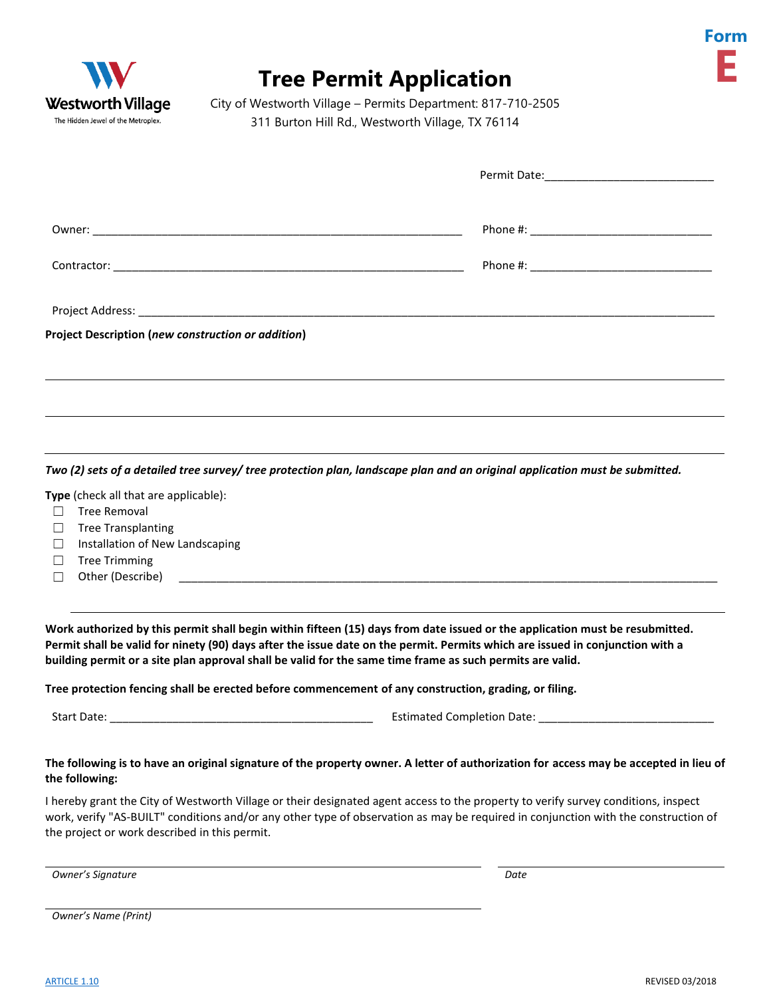



## **Tree Permit Application**

City of Westworth Village – Permits Department: 817-710-2505 311 Burton Hill Rd., Westworth Village, TX 76114

| <b>Project Description (new construction or addition)</b> |  |
|-----------------------------------------------------------|--|
|                                                           |  |
|                                                           |  |

*Two (2) sets of a detailed tree survey/ tree protection plan, landscape plan and an original application must be submitted.*

**Type** (check all that are applicable):

- ☐ Tree Removal
- ☐ Tree Transplanting
- □ Installation of New Landscaping
- ☐ Tree Trimming
- $\Box$  Other (Describe)

**Work authorized by this permit shall begin within fifteen (15) days from date issued or the application must be resubmitted. Permit shall be valid for ninety (90) days after the issue date on the permit. Permits which are issued in conjunction with a building permit or a site plan approval shall be valid for the same time frame as such permits are valid.**

**Tree protection fencing shall be erected before commencement of any construction, grading, or filing.**

Start Date: \_\_\_\_\_\_\_\_\_\_\_\_\_\_\_\_\_\_\_\_\_\_\_\_\_\_\_\_\_\_\_\_\_\_\_\_\_\_\_\_\_\_ Estimated Completion Date: \_\_\_\_\_\_\_\_\_\_\_\_\_\_\_\_\_\_\_\_\_\_\_\_\_\_\_\_

## **The following is to have an original signature of the property owner. A letter of authorization for access may be accepted in lieu of the following:**

I hereby grant the City of Westworth Village or their designated agent access to the property to verify survey conditions, inspect work, verify "AS-BUILT" conditions and/or any other type of observation as may be required in conjunction with the construction of the project or work described in this permit.

*Owner's Signature Date*

*Owner's Name (Print)*